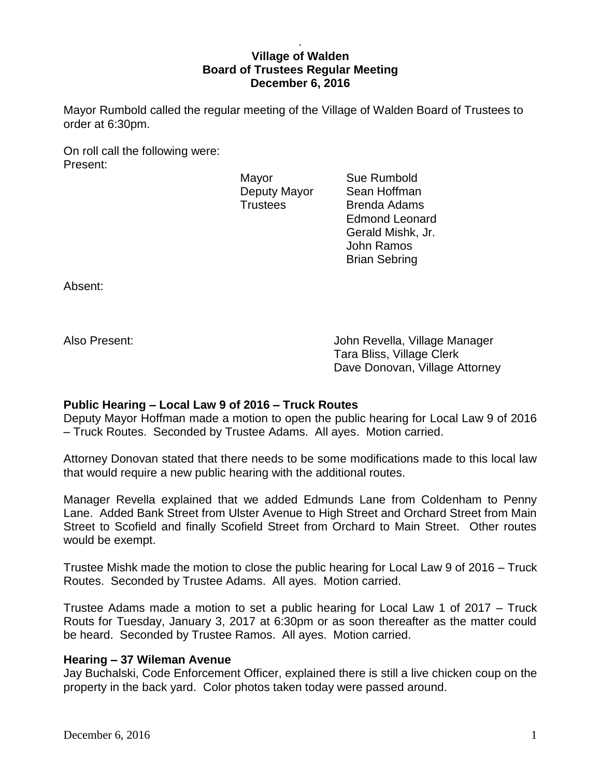### . **Village of Walden Board of Trustees Regular Meeting December 6, 2016**

Mayor Rumbold called the regular meeting of the Village of Walden Board of Trustees to order at 6:30pm.

On roll call the following were: Present:

Mayor **Sue Rumbold** 

Deputy Mayor Sean Hoffman Trustees Brenda Adams Edmond Leonard Gerald Mishk, Jr. John Ramos Brian Sebring

Absent:

Also Present: John Revella, Village Manager Tara Bliss, Village Clerk Dave Donovan, Village Attorney

# **Public Hearing – Local Law 9 of 2016 – Truck Routes**

Deputy Mayor Hoffman made a motion to open the public hearing for Local Law 9 of 2016 – Truck Routes. Seconded by Trustee Adams. All ayes. Motion carried.

Attorney Donovan stated that there needs to be some modifications made to this local law that would require a new public hearing with the additional routes.

Manager Revella explained that we added Edmunds Lane from Coldenham to Penny Lane. Added Bank Street from Ulster Avenue to High Street and Orchard Street from Main Street to Scofield and finally Scofield Street from Orchard to Main Street. Other routes would be exempt.

Trustee Mishk made the motion to close the public hearing for Local Law 9 of 2016 – Truck Routes. Seconded by Trustee Adams. All ayes. Motion carried.

Trustee Adams made a motion to set a public hearing for Local Law 1 of 2017 – Truck Routs for Tuesday, January 3, 2017 at 6:30pm or as soon thereafter as the matter could be heard. Seconded by Trustee Ramos. All ayes. Motion carried.

# **Hearing – 37 Wileman Avenue**

Jay Buchalski, Code Enforcement Officer, explained there is still a live chicken coup on the property in the back yard. Color photos taken today were passed around.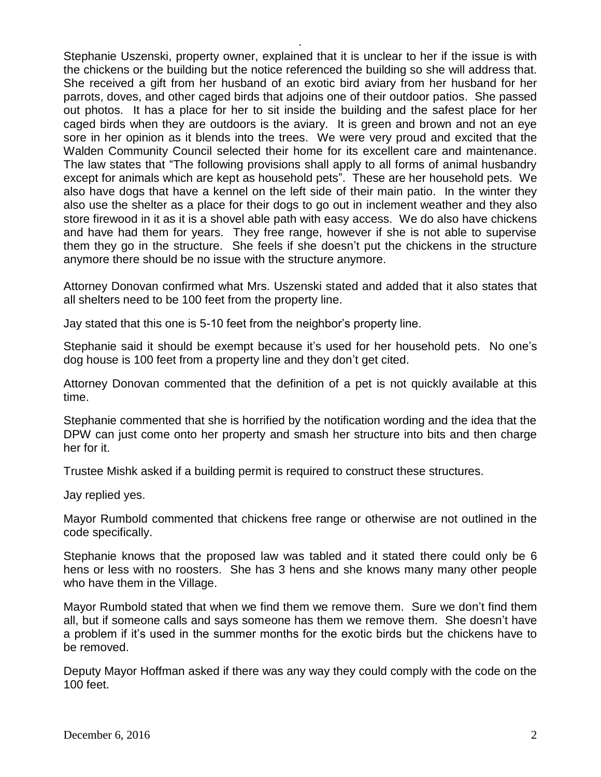Stephanie Uszenski, property owner, explained that it is unclear to her if the issue is with the chickens or the building but the notice referenced the building so she will address that. She received a gift from her husband of an exotic bird aviary from her husband for her parrots, doves, and other caged birds that adjoins one of their outdoor patios. She passed out photos. It has a place for her to sit inside the building and the safest place for her caged birds when they are outdoors is the aviary. It is green and brown and not an eye sore in her opinion as it blends into the trees. We were very proud and excited that the Walden Community Council selected their home for its excellent care and maintenance. The law states that "The following provisions shall apply to all forms of animal husbandry except for animals which are kept as household pets". These are her household pets. We also have dogs that have a kennel on the left side of their main patio. In the winter they also use the shelter as a place for their dogs to go out in inclement weather and they also store firewood in it as it is a shovel able path with easy access. We do also have chickens and have had them for years. They free range, however if she is not able to supervise them they go in the structure. She feels if she doesn't put the chickens in the structure anymore there should be no issue with the structure anymore.

.

Attorney Donovan confirmed what Mrs. Uszenski stated and added that it also states that all shelters need to be 100 feet from the property line.

Jay stated that this one is 5-10 feet from the neighbor's property line.

Stephanie said it should be exempt because it's used for her household pets. No one's dog house is 100 feet from a property line and they don't get cited.

Attorney Donovan commented that the definition of a pet is not quickly available at this time.

Stephanie commented that she is horrified by the notification wording and the idea that the DPW can just come onto her property and smash her structure into bits and then charge her for it.

Trustee Mishk asked if a building permit is required to construct these structures.

Jay replied yes.

Mayor Rumbold commented that chickens free range or otherwise are not outlined in the code specifically.

Stephanie knows that the proposed law was tabled and it stated there could only be 6 hens or less with no roosters. She has 3 hens and she knows many many other people who have them in the Village.

Mayor Rumbold stated that when we find them we remove them. Sure we don't find them all, but if someone calls and says someone has them we remove them. She doesn't have a problem if it's used in the summer months for the exotic birds but the chickens have to be removed.

Deputy Mayor Hoffman asked if there was any way they could comply with the code on the 100 feet.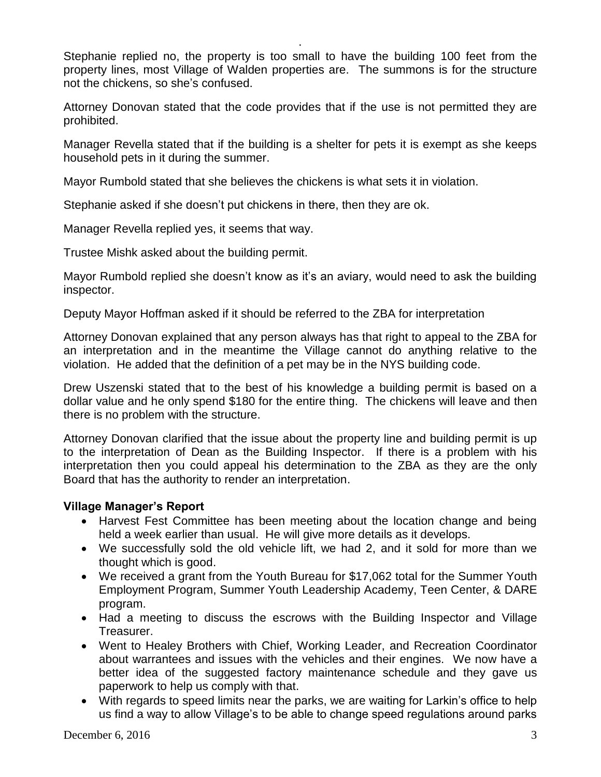Stephanie replied no, the property is too small to have the building 100 feet from the property lines, most Village of Walden properties are. The summons is for the structure not the chickens, so she's confused.

.

Attorney Donovan stated that the code provides that if the use is not permitted they are prohibited.

Manager Revella stated that if the building is a shelter for pets it is exempt as she keeps household pets in it during the summer.

Mayor Rumbold stated that she believes the chickens is what sets it in violation.

Stephanie asked if she doesn't put chickens in there, then they are ok.

Manager Revella replied yes, it seems that way.

Trustee Mishk asked about the building permit.

Mayor Rumbold replied she doesn't know as it's an aviary, would need to ask the building inspector.

Deputy Mayor Hoffman asked if it should be referred to the ZBA for interpretation

Attorney Donovan explained that any person always has that right to appeal to the ZBA for an interpretation and in the meantime the Village cannot do anything relative to the violation. He added that the definition of a pet may be in the NYS building code.

Drew Uszenski stated that to the best of his knowledge a building permit is based on a dollar value and he only spend \$180 for the entire thing. The chickens will leave and then there is no problem with the structure.

Attorney Donovan clarified that the issue about the property line and building permit is up to the interpretation of Dean as the Building Inspector. If there is a problem with his interpretation then you could appeal his determination to the ZBA as they are the only Board that has the authority to render an interpretation.

# **Village Manager's Report**

- Harvest Fest Committee has been meeting about the location change and being held a week earlier than usual. He will give more details as it develops.
- We successfully sold the old vehicle lift, we had 2, and it sold for more than we thought which is good.
- We received a grant from the Youth Bureau for \$17,062 total for the Summer Youth Employment Program, Summer Youth Leadership Academy, Teen Center, & DARE program.
- Had a meeting to discuss the escrows with the Building Inspector and Village Treasurer.
- Went to Healey Brothers with Chief, Working Leader, and Recreation Coordinator about warrantees and issues with the vehicles and their engines. We now have a better idea of the suggested factory maintenance schedule and they gave us paperwork to help us comply with that.
- With regards to speed limits near the parks, we are waiting for Larkin's office to help us find a way to allow Village's to be able to change speed regulations around parks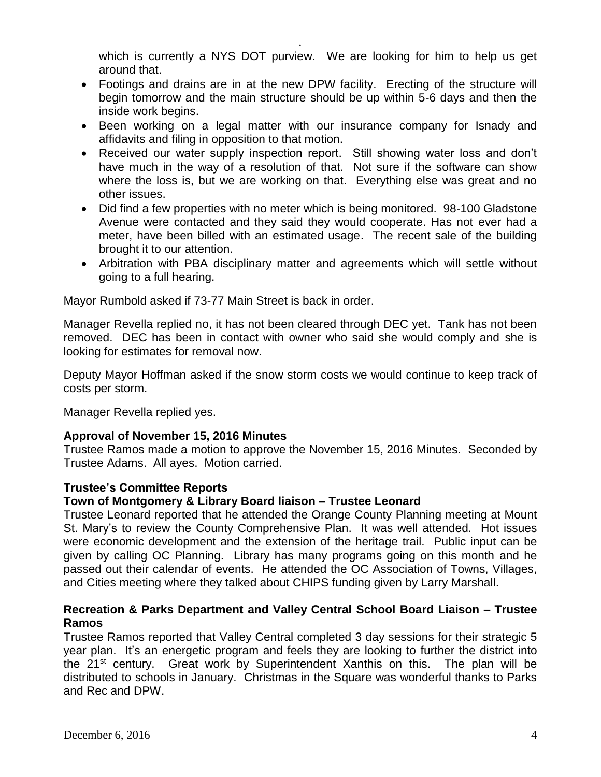which is currently a NYS DOT purview. We are looking for him to help us get around that.

• Footings and drains are in at the new DPW facility. Erecting of the structure will begin tomorrow and the main structure should be up within 5-6 days and then the inside work begins.

.

- Been working on a legal matter with our insurance company for Isnady and affidavits and filing in opposition to that motion.
- Received our water supply inspection report. Still showing water loss and don't have much in the way of a resolution of that. Not sure if the software can show where the loss is, but we are working on that. Everything else was great and no other issues.
- Did find a few properties with no meter which is being monitored. 98-100 Gladstone Avenue were contacted and they said they would cooperate. Has not ever had a meter, have been billed with an estimated usage. The recent sale of the building brought it to our attention.
- Arbitration with PBA disciplinary matter and agreements which will settle without going to a full hearing.

Mayor Rumbold asked if 73-77 Main Street is back in order.

Manager Revella replied no, it has not been cleared through DEC yet. Tank has not been removed. DEC has been in contact with owner who said she would comply and she is looking for estimates for removal now.

Deputy Mayor Hoffman asked if the snow storm costs we would continue to keep track of costs per storm.

Manager Revella replied yes.

# **Approval of November 15, 2016 Minutes**

Trustee Ramos made a motion to approve the November 15, 2016 Minutes. Seconded by Trustee Adams. All ayes. Motion carried.

# **Trustee's Committee Reports**

# **Town of Montgomery & Library Board liaison – Trustee Leonard**

Trustee Leonard reported that he attended the Orange County Planning meeting at Mount St. Mary's to review the County Comprehensive Plan. It was well attended. Hot issues were economic development and the extension of the heritage trail. Public input can be given by calling OC Planning. Library has many programs going on this month and he passed out their calendar of events. He attended the OC Association of Towns, Villages, and Cities meeting where they talked about CHIPS funding given by Larry Marshall.

# **Recreation & Parks Department and Valley Central School Board Liaison – Trustee Ramos**

Trustee Ramos reported that Valley Central completed 3 day sessions for their strategic 5 year plan. It's an energetic program and feels they are looking to further the district into the 21st century. Great work by Superintendent Xanthis on this. The plan will be distributed to schools in January. Christmas in the Square was wonderful thanks to Parks and Rec and DPW.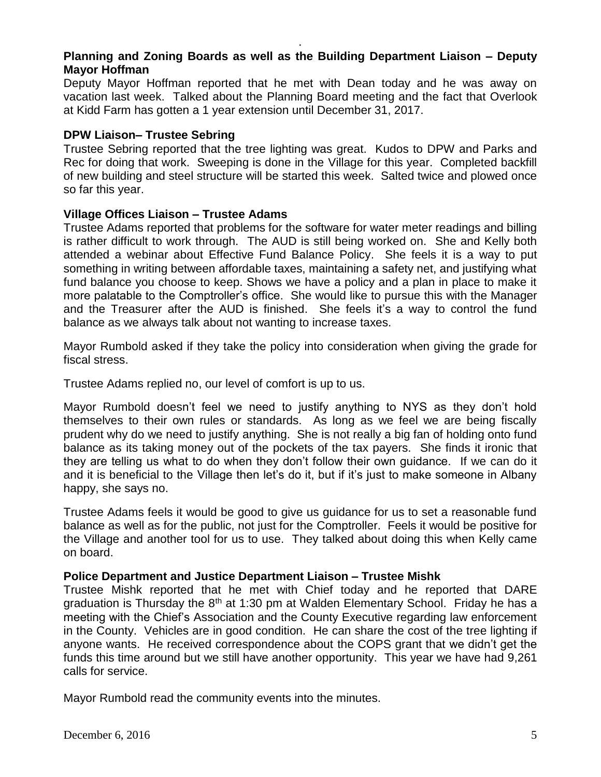# **Planning and Zoning Boards as well as the Building Department Liaison – Deputy Mayor Hoffman**

.

Deputy Mayor Hoffman reported that he met with Dean today and he was away on vacation last week. Talked about the Planning Board meeting and the fact that Overlook at Kidd Farm has gotten a 1 year extension until December 31, 2017.

### **DPW Liaison– Trustee Sebring**

Trustee Sebring reported that the tree lighting was great. Kudos to DPW and Parks and Rec for doing that work. Sweeping is done in the Village for this year. Completed backfill of new building and steel structure will be started this week. Salted twice and plowed once so far this year.

### **Village Offices Liaison – Trustee Adams**

Trustee Adams reported that problems for the software for water meter readings and billing is rather difficult to work through. The AUD is still being worked on. She and Kelly both attended a webinar about Effective Fund Balance Policy. She feels it is a way to put something in writing between affordable taxes, maintaining a safety net, and justifying what fund balance you choose to keep. Shows we have a policy and a plan in place to make it more palatable to the Comptroller's office. She would like to pursue this with the Manager and the Treasurer after the AUD is finished. She feels it's a way to control the fund balance as we always talk about not wanting to increase taxes.

Mayor Rumbold asked if they take the policy into consideration when giving the grade for fiscal stress.

Trustee Adams replied no, our level of comfort is up to us.

Mayor Rumbold doesn't feel we need to justify anything to NYS as they don't hold themselves to their own rules or standards. As long as we feel we are being fiscally prudent why do we need to justify anything. She is not really a big fan of holding onto fund balance as its taking money out of the pockets of the tax payers. She finds it ironic that they are telling us what to do when they don't follow their own guidance. If we can do it and it is beneficial to the Village then let's do it, but if it's just to make someone in Albany happy, she says no.

Trustee Adams feels it would be good to give us guidance for us to set a reasonable fund balance as well as for the public, not just for the Comptroller. Feels it would be positive for the Village and another tool for us to use. They talked about doing this when Kelly came on board.

#### **Police Department and Justice Department Liaison – Trustee Mishk**

Trustee Mishk reported that he met with Chief today and he reported that DARE graduation is Thursday the  $8<sup>th</sup>$  at 1:30 pm at Walden Elementary School. Friday he has a meeting with the Chief's Association and the County Executive regarding law enforcement in the County. Vehicles are in good condition. He can share the cost of the tree lighting if anyone wants. He received correspondence about the COPS grant that we didn't get the funds this time around but we still have another opportunity. This year we have had 9,261 calls for service.

Mayor Rumbold read the community events into the minutes.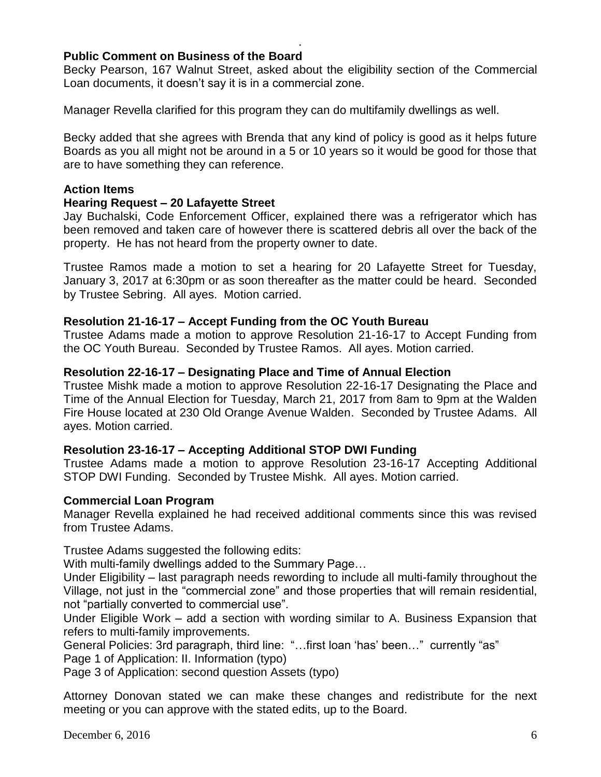# **Public Comment on Business of the Board**

Becky Pearson, 167 Walnut Street, asked about the eligibility section of the Commercial Loan documents, it doesn't say it is in a commercial zone.

.

Manager Revella clarified for this program they can do multifamily dwellings as well.

Becky added that she agrees with Brenda that any kind of policy is good as it helps future Boards as you all might not be around in a 5 or 10 years so it would be good for those that are to have something they can reference.

### **Action Items**

#### **Hearing Request – 20 Lafayette Street**

Jay Buchalski, Code Enforcement Officer, explained there was a refrigerator which has been removed and taken care of however there is scattered debris all over the back of the property. He has not heard from the property owner to date.

Trustee Ramos made a motion to set a hearing for 20 Lafayette Street for Tuesday, January 3, 2017 at 6:30pm or as soon thereafter as the matter could be heard. Seconded by Trustee Sebring. All ayes. Motion carried.

#### **Resolution 21-16-17 – Accept Funding from the OC Youth Bureau**

Trustee Adams made a motion to approve Resolution 21-16-17 to Accept Funding from the OC Youth Bureau. Seconded by Trustee Ramos. All ayes. Motion carried.

#### **Resolution 22-16-17 – Designating Place and Time of Annual Election**

Trustee Mishk made a motion to approve Resolution 22-16-17 Designating the Place and Time of the Annual Election for Tuesday, March 21, 2017 from 8am to 9pm at the Walden Fire House located at 230 Old Orange Avenue Walden. Seconded by Trustee Adams. All ayes. Motion carried.

#### **Resolution 23-16-17 – Accepting Additional STOP DWI Funding**

Trustee Adams made a motion to approve Resolution 23-16-17 Accepting Additional STOP DWI Funding. Seconded by Trustee Mishk. All ayes. Motion carried.

#### **Commercial Loan Program**

Manager Revella explained he had received additional comments since this was revised from Trustee Adams.

Trustee Adams suggested the following edits:

With multi-family dwellings added to the Summary Page…

Under Eligibility – last paragraph needs rewording to include all multi-family throughout the Village, not just in the "commercial zone" and those properties that will remain residential, not "partially converted to commercial use".

Under Eligible Work – add a section with wording similar to A. Business Expansion that refers to multi-family improvements.

General Policies: 3rd paragraph, third line: "…first loan 'has' been…" currently "as"

Page 1 of Application: II. Information (typo)

Page 3 of Application: second question Assets (typo)

Attorney Donovan stated we can make these changes and redistribute for the next meeting or you can approve with the stated edits, up to the Board.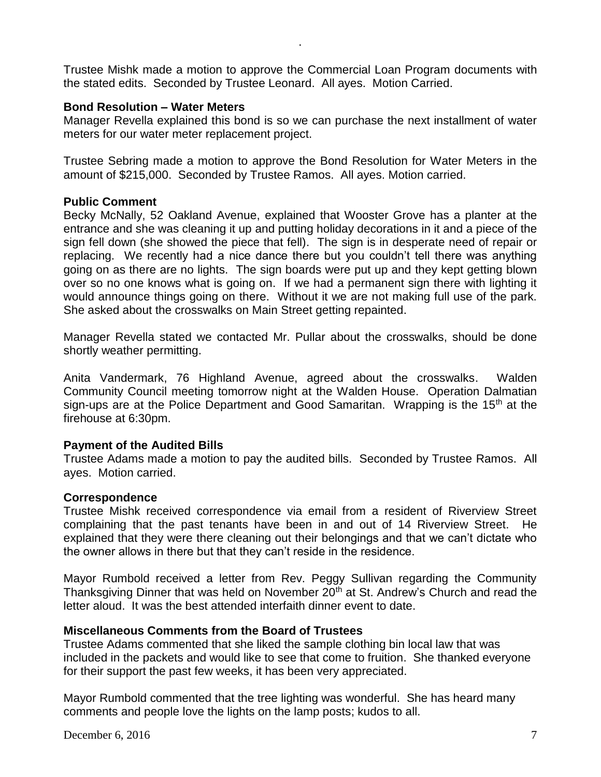Trustee Mishk made a motion to approve the Commercial Loan Program documents with the stated edits. Seconded by Trustee Leonard. All ayes. Motion Carried.

.

### **Bond Resolution – Water Meters**

Manager Revella explained this bond is so we can purchase the next installment of water meters for our water meter replacement project.

Trustee Sebring made a motion to approve the Bond Resolution for Water Meters in the amount of \$215,000. Seconded by Trustee Ramos. All ayes. Motion carried.

### **Public Comment**

Becky McNally, 52 Oakland Avenue, explained that Wooster Grove has a planter at the entrance and she was cleaning it up and putting holiday decorations in it and a piece of the sign fell down (she showed the piece that fell). The sign is in desperate need of repair or replacing. We recently had a nice dance there but you couldn't tell there was anything going on as there are no lights. The sign boards were put up and they kept getting blown over so no one knows what is going on. If we had a permanent sign there with lighting it would announce things going on there. Without it we are not making full use of the park. She asked about the crosswalks on Main Street getting repainted.

Manager Revella stated we contacted Mr. Pullar about the crosswalks, should be done shortly weather permitting.

Anita Vandermark, 76 Highland Avenue, agreed about the crosswalks. Walden Community Council meeting tomorrow night at the Walden House. Operation Dalmatian sign-ups are at the Police Department and Good Samaritan. Wrapping is the 15<sup>th</sup> at the firehouse at 6:30pm.

# **Payment of the Audited Bills**

Trustee Adams made a motion to pay the audited bills. Seconded by Trustee Ramos. All ayes. Motion carried.

#### **Correspondence**

Trustee Mishk received correspondence via email from a resident of Riverview Street complaining that the past tenants have been in and out of 14 Riverview Street. He explained that they were there cleaning out their belongings and that we can't dictate who the owner allows in there but that they can't reside in the residence.

Mayor Rumbold received a letter from Rev. Peggy Sullivan regarding the Community Thanksgiving Dinner that was held on November 20<sup>th</sup> at St. Andrew's Church and read the letter aloud. It was the best attended interfaith dinner event to date.

# **Miscellaneous Comments from the Board of Trustees**

Trustee Adams commented that she liked the sample clothing bin local law that was included in the packets and would like to see that come to fruition. She thanked everyone for their support the past few weeks, it has been very appreciated.

Mayor Rumbold commented that the tree lighting was wonderful. She has heard many comments and people love the lights on the lamp posts; kudos to all.